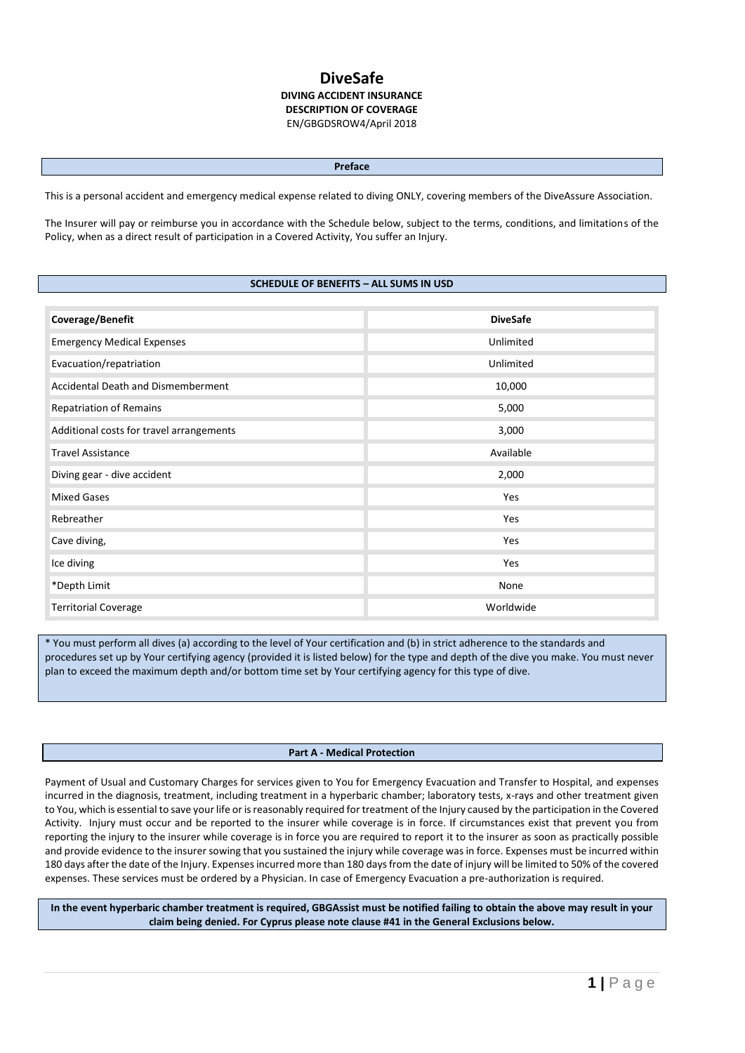# **DiveSafe DIVING ACCIDENT INSURANCE DESCRIPTION OF COVERAGE** EN/GBGDSROW4/April 2018

#### **Preface**

This is a personal accident and emergency medical expense related to diving ONLY, covering members of the DiveAssure Association.

The Insurer will pay or reimburse you in accordance with the Schedule below, subject to the terms, conditions, and limitations of the Policy, when as a direct result of participation in a Covered Activity, You suffer an Injury.

## **SCHEDULE OF BENEFITS – ALL SUMS IN USD**

| Coverage/Benefit                         | <b>DiveSafe</b> |
|------------------------------------------|-----------------|
| <b>Emergency Medical Expenses</b>        | Unlimited       |
| Evacuation/repatriation                  | Unlimited       |
| Accidental Death and Dismemberment       | 10,000          |
| <b>Repatriation of Remains</b>           | 5,000           |
| Additional costs for travel arrangements | 3,000           |
| <b>Travel Assistance</b>                 | Available       |
| Diving gear - dive accident              | 2,000           |
| <b>Mixed Gases</b>                       | Yes             |
| Rebreather                               | Yes             |
| Cave diving,                             | Yes             |
| Ice diving                               | Yes             |
| *Depth Limit                             | None            |
| <b>Territorial Coverage</b>              | Worldwide       |

\* You must perform all dives (a) according to the level of Your certification and (b) in strict adherence to the standards and procedures set up by Your certifying agency (provided it is listed below) for the type and depth of the dive you make. You must never plan to exceed the maximum depth and/or bottom time set by Your certifying agency for this type of dive.

#### **Part A - Medical Protection**

Payment of Usual and Customary Charges for services given to You for Emergency Evacuation and Transfer to Hospital, and expenses incurred in the diagnosis, treatment, including treatment in a hyperbaric chamber; laboratory tests, x-rays and other treatment given to You, which is essential to save your life or is reasonably required for treatment of the Injury caused by the participation in the Covered Activity. Injury must occur and be reported to the insurer while coverage is in force. If circumstances exist that prevent you from reporting the injury to the insurer while coverage is in force you are required to report it to the insurer as soon as practically possible and provide evidence to the insurer sowing that you sustained the injury while coverage was in force. Expenses must be incurred within 180 days after the date of the Injury. Expenses incurred more than 180 days from the date of injury will be limited to 50% of the covered expenses. These services must be ordered by a Physician. In case of Emergency Evacuation a pre-authorization is required.

**In the event hyperbaric chamber treatment is required, GBGAssist must be notified failing to obtain the above may result in your claim being denied. For Cyprus please note clause #41 in the General Exclusions below.**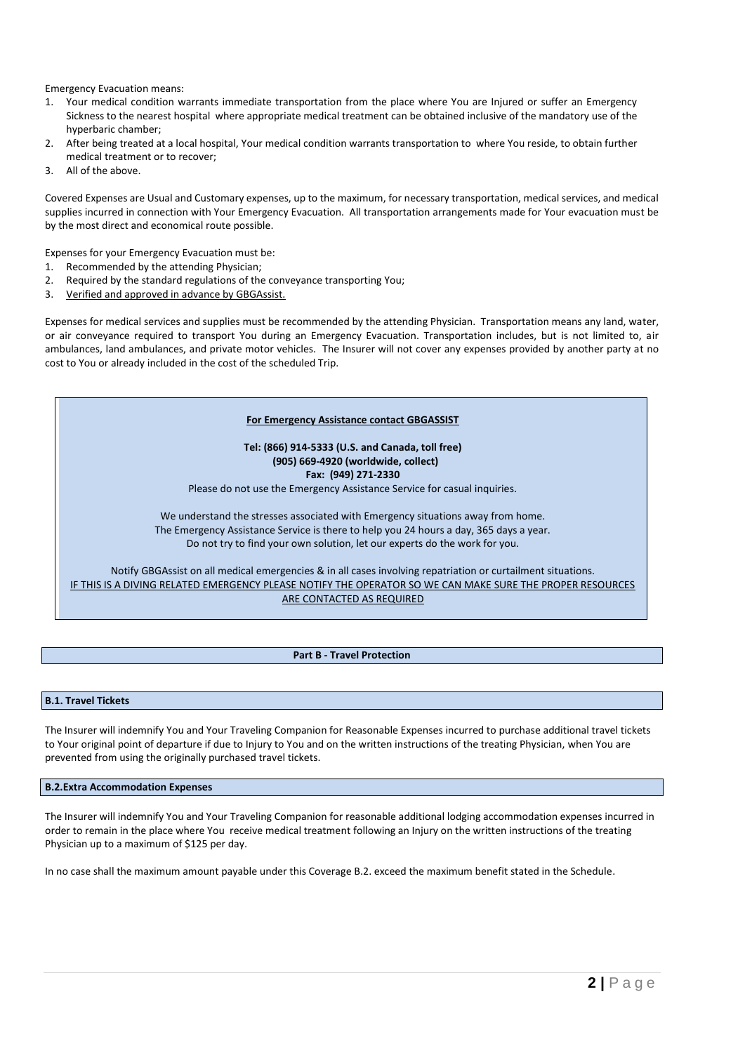Emergency Evacuation means:

- 1. Your medical condition warrants immediate transportation from the place where You are Injured or suffer an Emergency Sickness to the nearest hospital where appropriate medical treatment can be obtained inclusive of the mandatory use of the hyperbaric chamber;
- 2. After being treated at a local hospital, Your medical condition warrants transportation to where You reside, to obtain further medical treatment or to recover;
- 3. All of the above.

Covered Expenses are Usual and Customary expenses, up to the maximum, for necessary transportation, medical services, and medical supplies incurred in connection with Your Emergency Evacuation. All transportation arrangements made for Your evacuation must be by the most direct and economical route possible.

Expenses for your Emergency Evacuation must be:

- 1. Recommended by the attending Physician;
- 2. Required by the standard regulations of the conveyance transporting You;
- 3. Verified and approved in advance by GBGAssist.

Expenses for medical services and supplies must be recommended by the attending Physician. Transportation means any land, water, or air conveyance required to transport You during an Emergency Evacuation. Transportation includes, but is not limited to, air ambulances, land ambulances, and private motor vehicles. The Insurer will not cover any expenses provided by another party at no cost to You or already included in the cost of the scheduled Trip.

#### **For Emergency Assistance contact GBGASSIST**

**Tel: (866) 914-5333 (U.S. and Canada, toll free) (905) 669-4920 (worldwide, collect) Fax: (949) 271-2330** Please do not use the Emergency Assistance Service for casual inquiries.

We understand the stresses associated with Emergency situations away from home. The Emergency Assistance Service is there to help you 24 hours a day, 365 days a year. Do not try to find your own solution, let our experts do the work for you.

Notify GBGAssist on all medical emergencies & in all cases involving repatriation or curtailment situations. IF THIS IS A DIVING RELATED EMERGENCY PLEASE NOTIFY THE OPERATOR SO WE CAN MAKE SURE THE PROPER RESOURCES ARE CONTACTED AS REQUIRED

## **Part B - Travel Protection**

#### **B.1. Travel Tickets**

The Insurer will indemnify You and Your Traveling Companion for Reasonable Expenses incurred to purchase additional travel tickets to Your original point of departure if due to Injury to You and on the written instructions of the treating Physician, when You are prevented from using the originally purchased travel tickets.

**B.2.Extra Accommodation Expenses**

The Insurer will indemnify You and Your Traveling Companion for reasonable additional lodging accommodation expenses incurred in order to remain in the place where You receive medical treatment following an Injury on the written instructions of the treating Physician up to a maximum of \$125 per day.

In no case shall the maximum amount payable under this Coverage B.2. exceed the maximum benefit stated in the Schedule.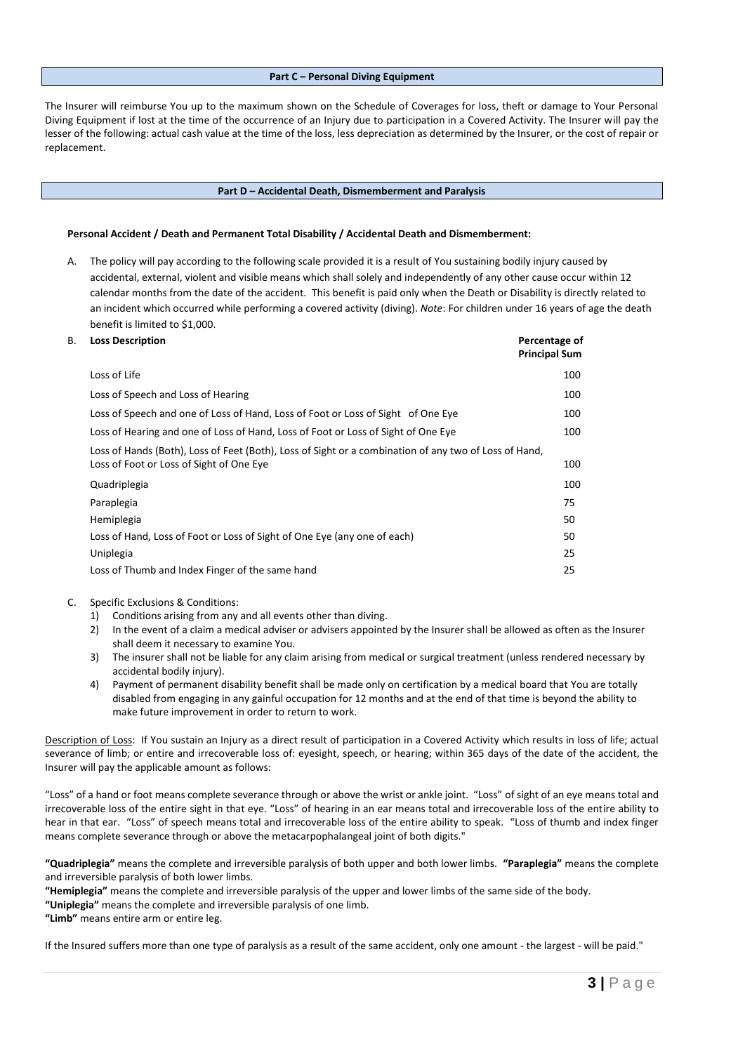## **Part C – Personal Diving Equipment**

The Insurer will reimburse You up to the maximum shown on the Schedule of Coverages for loss, theft or damage to Your Personal Diving Equipment if lost at the time of the occurrence of an Injury due to participation in a Covered Activity. The Insurer will pay the lesser of the following: actual cash value at the time of the loss, less depreciation as determined by the Insurer, or the cost of repair or replacement.

#### **Part D – Accidental Death, Dismemberment and Paralysis**

#### **Personal Accident / Death and Permanent Total Disability / Accidental Death and Dismemberment:**

A. The policy will pay according to the following scale provided it is a result of You sustaining bodily injury caused by accidental, external, violent and visible means which shall solely and independently of any other cause occur within 12 calendar months from the date of the accident. This benefit is paid only when the Death or Disability is directly related to an incident which occurred while performing a covered activity (diving). *Note*: For children under 16 years of age the death benefit is limited to \$1,000.

| В. | <b>Loss Description</b>                                                                                                                           | Percentage of<br><b>Principal Sum</b> |
|----|---------------------------------------------------------------------------------------------------------------------------------------------------|---------------------------------------|
|    | Loss of Life                                                                                                                                      | 100                                   |
|    | Loss of Speech and Loss of Hearing                                                                                                                | 100                                   |
|    | Loss of Speech and one of Loss of Hand, Loss of Foot or Loss of Sight of One Eye                                                                  | 100                                   |
|    | Loss of Hearing and one of Loss of Hand, Loss of Foot or Loss of Sight of One Eye                                                                 | 100                                   |
|    | Loss of Hands (Both), Loss of Feet (Both), Loss of Sight or a combination of any two of Loss of Hand,<br>Loss of Foot or Loss of Sight of One Eye | 100                                   |
|    | Quadriplegia                                                                                                                                      | 100                                   |
|    | Paraplegia                                                                                                                                        | 75                                    |
|    | Hemiplegia                                                                                                                                        | 50                                    |
|    | Loss of Hand, Loss of Foot or Loss of Sight of One Eye (any one of each)                                                                          | 50                                    |
|    | Uniplegia                                                                                                                                         | 25                                    |
|    | Loss of Thumb and Index Finger of the same hand                                                                                                   | 25                                    |

- C. Specific Exclusions & Conditions:
	- 1) Conditions arising from any and all events other than diving.
	- 2) In the event of a claim a medical adviser or advisers appointed by the Insurer shall be allowed as often as the Insurer shall deem it necessary to examine You.
	- 3) The insurer shall not be liable for any claim arising from medical or surgical treatment (unless rendered necessary by accidental bodily injury).
	- 4) Payment of permanent disability benefit shall be made only on certification by a medical board that You are totally disabled from engaging in any gainful occupation for 12 months and at the end of that time is beyond the ability to make future improvement in order to return to work.

Description of Loss: If You sustain an Injury as a direct result of participation in a Covered Activity which results in loss of life; actual severance of limb; or entire and irrecoverable loss of: eyesight, speech, or hearing; within 365 days of the date of the accident, the Insurer will pay the applicable amount as follows:

"Loss" of a hand or foot means complete severance through or above the wrist or ankle joint. "Loss" of sight of an eye means total and irrecoverable loss of the entire sight in that eye. "Loss" of hearing in an ear means total and irrecoverable loss of the entire ability to hear in that ear. "Loss" of speech means total and irrecoverable loss of the entire ability to speak. "Loss of thumb and index finger means complete severance through or above the metacarpophalangeal joint of both digits."

**"Quadriplegia"** means the complete and irreversible paralysis of both upper and both lower limbs. **"Paraplegia"** means the complete and irreversible paralysis of both lower limbs.

**"Hemiplegia"** means the complete and irreversible paralysis of the upper and lower limbs of the same side of the body.

**"Uniplegia"** means the complete and irreversible paralysis of one limb.

**"Limb"** means entire arm or entire leg.

If the Insured suffers more than one type of paralysis as a result of the same accident, only one amount - the largest - will be paid."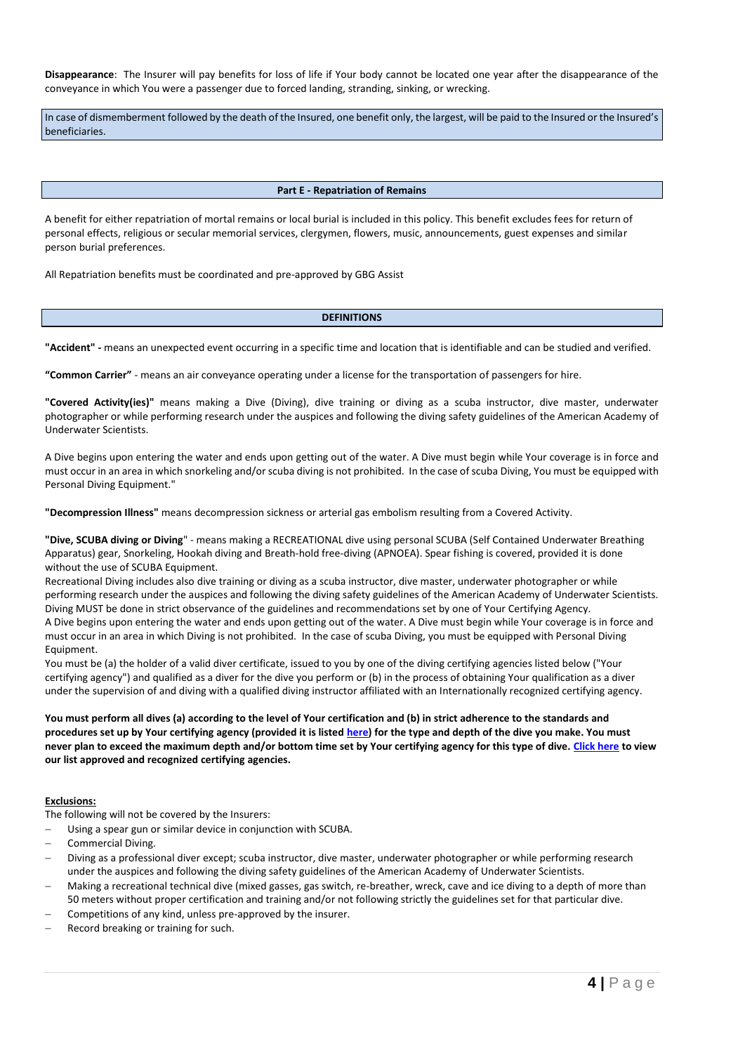**Disappearance**: The Insurer will pay benefits for loss of life if Your body cannot be located one year after the disappearance of the conveyance in which You were a passenger due to forced landing, stranding, sinking, or wrecking.

In case of dismemberment followed by the death of the Insured, one benefit only, the largest, will be paid to the Insured or the Insured's beneficiaries.

#### **Part E - Repatriation of Remains**

A benefit for either repatriation of mortal remains or local burial is included in this policy. This benefit excludes fees for return of personal effects, religious or secular memorial services, clergymen, flowers, music, announcements, guest expenses and similar person burial preferences.

All Repatriation benefits must be coordinated and pre-approved by GBG Assist

## **DEFINITIONS**

**"Accident" -** means an unexpected event occurring in a specific time and location that is identifiable and can be studied and verified.

**"Common Carrier"** - means an air conveyance operating under a license for the transportation of passengers for hire.

**"Covered Activity(ies)"** means making a Dive (Diving), dive training or diving as a scuba instructor, dive master, underwater photographer or while performing research under the auspices and following the diving safety guidelines of the American Academy of Underwater Scientists.

A Dive begins upon entering the water and ends upon getting out of the water. A Dive must begin while Your coverage is in force and must occur in an area in which snorkeling and/or scuba diving is not prohibited. In the case of scuba Diving, You must be equipped with Personal Diving Equipment."

**"Decompression Illness"** means decompression sickness or arterial gas embolism resulting from a Covered Activity.

**"Dive, SCUBA diving or Diving**" - means making a RECREATIONAL dive using personal SCUBA (Self Contained Underwater Breathing Apparatus) gear, Snorkeling, Hookah diving and Breath-hold free-diving (APNOEA). Spear fishing is covered, provided it is done without the use of SCUBA Equipment.

Recreational Diving includes also dive training or diving as a scuba instructor, dive master, underwater photographer or while performing research under the auspices and following the diving safety guidelines of the American Academy of Underwater Scientists. Diving MUST be done in strict observance of the guidelines and recommendations set by one of Your Certifying Agency. A Dive begins upon entering the water and ends upon getting out of the water. A Dive must begin while Your coverage is in force and must occur in an area in which Diving is not prohibited. In the case of scuba Diving, you must be equipped with Personal Diving Equipment.

You must be (a) the holder of a valid diver certificate, issued to you by one of the diving certifying agencies listed below ("Your certifying agency") and qualified as a diver for the dive you perform or (b) in the process of obtaining Your qualification as a diver under the supervision of and diving with a qualified diving instructor affiliated with an Internationally recognized certifying agency.

**You must perform all dives (a) according to the level of Your certification and (b) in strict adherence to the standards and procedures set up by Your certifying agency (provided it is listed here) for the type and depth of the dive you make. You must never plan to exceed the maximum depth and/or bottom time set by Your certifying agency for this type of dive. Click here to view our list approved and recognized certifying agencies.**

#### **Exclusions:**

The following will not be covered by the Insurers:

- Using a spear gun or similar device in conjunction with SCUBA.
- Commercial Diving.
- Diving as a professional diver except; scuba instructor, dive master, underwater photographer or while performing research under the auspices and following the diving safety guidelines of the American Academy of Underwater Scientists.
- Making a recreational technical dive (mixed gasses, gas switch, re-breather, wreck, cave and ice diving to a depth of more than 50 meters without proper certification and training and/or not following strictly the guidelines set for that particular dive.
- Competitions of any kind, unless pre-approved by the insurer.
- Record breaking or training for such.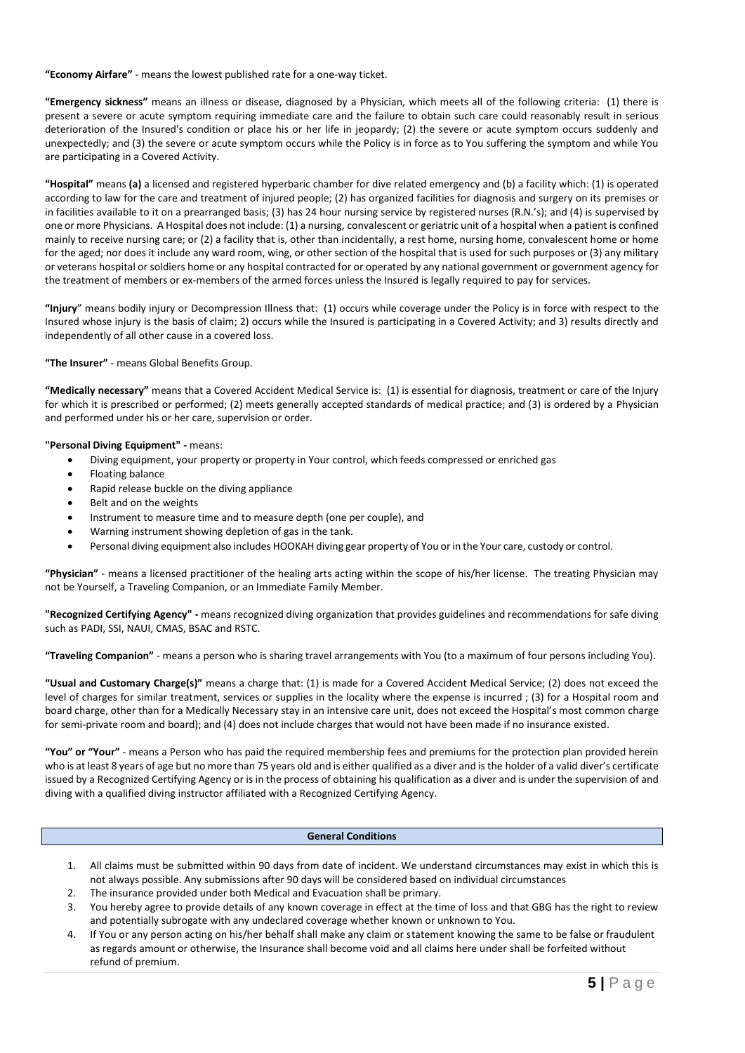**"Economy Airfare"** - means the lowest published rate for a one-way ticket.

**"Emergency sickness"** means an illness or disease, diagnosed by a Physician, which meets all of the following criteria: (1) there is present a severe or acute symptom requiring immediate care and the failure to obtain such care could reasonably result in serious deterioration of the Insured's condition or place his or her life in jeopardy; (2) the severe or acute symptom occurs suddenly and unexpectedly; and (3) the severe or acute symptom occurs while the Policy is in force as to You suffering the symptom and while You are participating in a Covered Activity.

**"Hospital"** means **(a)** a licensed and registered hyperbaric chamber for dive related emergency and (b) a facility which: (1) is operated according to law for the care and treatment of injured people; (2) has organized facilities for diagnosis and surgery on its premises or in facilities available to it on a prearranged basis; (3) has 24 hour nursing service by registered nurses (R.N.'s); and (4) is supervised by one or more Physicians. A Hospital does not include: (1) a nursing, convalescent or geriatric unit of a hospital when a patient is confined mainly to receive nursing care; or (2) a facility that is, other than incidentally, a rest home, nursing home, convalescent home or home for the aged; nor does it include any ward room, wing, or other section of the hospital that is used for such purposes or (3) any military or veterans hospital or soldiers home or any hospital contracted for or operated by any national government or government agency for the treatment of members or ex-members of the armed forces unless the Insured is legally required to pay for services.

**"Injury**" means bodily injury or Decompression Illness that: (1) occurs while coverage under the Policy is in force with respect to the Insured whose injury is the basis of claim; 2) occurs while the Insured is participating in a Covered Activity; and 3) results directly and independently of all other cause in a covered loss.

**"The Insurer"** - means Global Benefits Group.

**"Medically necessary"** means that a Covered Accident Medical Service is: (1) is essential for diagnosis, treatment or care of the Injury for which it is prescribed or performed; (2) meets generally accepted standards of medical practice; and (3) is ordered by a Physician and performed under his or her care, supervision or order.

**"Personal Diving Equipment" -** means:

- Diving equipment, your property or property in Your control, which feeds compressed or enriched gas
- Floating balance
- Rapid release buckle on the diving appliance
- Belt and on the weights
- Instrument to measure time and to measure depth (one per couple), and
- Warning instrument showing depletion of gas in the tank.
- Personal diving equipment also includes HOOKAH diving gear property of You or in the Your care, custody or control.

**"Physician"** - means a licensed practitioner of the healing arts acting within the scope of his/her license. The treating Physician may not be Yourself, a Traveling Companion, or an Immediate Family Member.

**"Recognized Certifying Agency" -** means recognized diving organization that provides guidelines and recommendations for safe diving such as PADI, SSI, NAUI, CMAS, BSAC and RSTC.

**"Traveling Companion"** - means a person who is sharing travel arrangements with You (to a maximum of four persons including You).

**"Usual and Customary Charge(s)"** means a charge that: (1) is made for a Covered Accident Medical Service; (2) does not exceed the level of charges for similar treatment, services or supplies in the locality where the expense is incurred ; (3) for a Hospital room and board charge, other than for a Medically Necessary stay in an intensive care unit, does not exceed the Hospital's most common charge for semi-private room and board); and (4) does not include charges that would not have been made if no insurance existed.

**"You" or "Your"** - means a Person who has paid the required membership fees and premiums for the protection plan provided herein who is at least 8 years of age but no more than 75 years old and is either qualified as a diver and is the holder of a valid diver's certificate issued by a Recognized Certifying Agency or is in the process of obtaining his qualification as a diver and is under the supervision of and diving with a qualified diving instructor affiliated with a Recognized Certifying Agency.

# **General Conditions**

- 1. All claims must be submitted within 90 days from date of incident. We understand circumstances may exist in which this is not always possible. Any submissions after 90 days will be considered based on individual circumstances
- 2. The insurance provided under both Medical and Evacuation shall be primary.
- 3. You hereby agree to provide details of any known coverage in effect at the time of loss and that GBG has the right to review and potentially subrogate with any undeclared coverage whether known or unknown to You.
- 4. If You or any person acting on his/her behalf shall make any claim or statement knowing the same to be false or fraudulent as regards amount or otherwise, the Insurance shall become void and all claims here under shall be forfeited without refund of premium.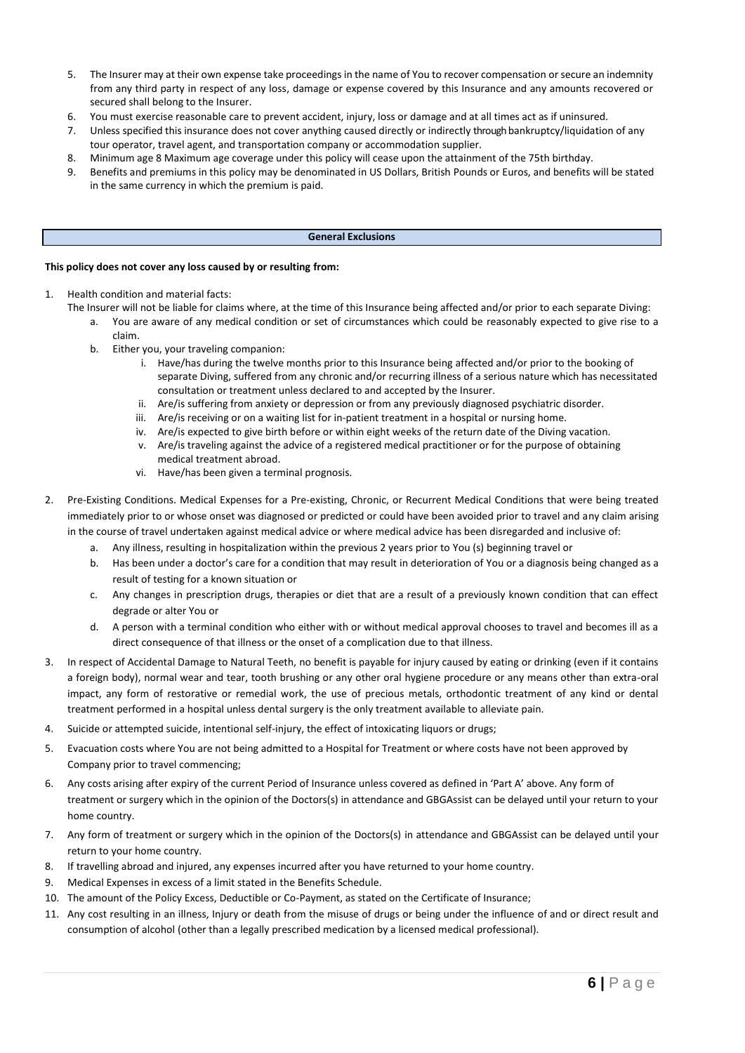- 5. The Insurer may at their own expense take proceedings in the name of You to recover compensation or secure an indemnity from any third party in respect of any loss, damage or expense covered by this Insurance and any amounts recovered or secured shall belong to the Insurer.
- 6. You must exercise reasonable care to prevent accident, injury, loss or damage and at all times act as if uninsured.
- 7. Unless specified this insurance does not cover anything caused directly or indirectly throughbankruptcy/liquidation of any tour operator, travel agent, and transportation company or accommodation supplier.
- 8. Minimum age 8 Maximum age coverage under this policy will cease upon the attainment of the 75th birthday.
- 9. Benefits and premiums in this policy may be denominated in US Dollars, British Pounds or Euros, and benefits will be stated in the same currency in which the premium is paid.

## **General Exclusions**

## **This policy does not cover any loss caused by or resulting from:**

- 1. Health condition and material facts:
	- The Insurer will not be liable for claims where, at the time of this Insurance being affected and/or prior to each separate Diving:
		- a. You are aware of any medical condition or set of circumstances which could be reasonably expected to give rise to a claim.
			- b. Either you, your traveling companion:
				- i. Have/has during the twelve months prior to this Insurance being affected and/or prior to the booking of separate Diving, suffered from any chronic and/or recurring illness of a serious nature which has necessitated consultation or treatment unless declared to and accepted by the Insurer.
				- ii. Are/is suffering from anxiety or depression or from any previously diagnosed psychiatric disorder.
				- iii. Are/is receiving or on a waiting list for in-patient treatment in a hospital or nursing home.
				- iv. Are/is expected to give birth before or within eight weeks of the return date of the Diving vacation.
				- v. Are/is traveling against the advice of a registered medical practitioner or for the purpose of obtaining medical treatment abroad.
				- vi. Have/has been given a terminal prognosis.
- 2. Pre-Existing Conditions. Medical Expenses for a Pre-existing, Chronic, or Recurrent Medical Conditions that were being treated immediately prior to or whose onset was diagnosed or predicted or could have been avoided prior to travel and any claim arising in the course of travel undertaken against medical advice or where medical advice has been disregarded and inclusive of:
	- a. Any illness, resulting in hospitalization within the previous 2 years prior to You (s) beginning travel or
	- b. Has been under a doctor's care for a condition that may result in deterioration of You or a diagnosis being changed as a result of testing for a known situation or
	- c. Any changes in prescription drugs, therapies or diet that are a result of a previously known condition that can effect degrade or alter You or
	- d. A person with a terminal condition who either with or without medical approval chooses to travel and becomes ill as a direct consequence of that illness or the onset of a complication due to that illness.
- 3. In respect of Accidental Damage to Natural Teeth, no benefit is payable for injury caused by eating or drinking (even if it contains a foreign body), normal wear and tear, tooth brushing or any other oral hygiene procedure or any means other than extra-oral impact, any form of restorative or remedial work, the use of precious metals, orthodontic treatment of any kind or dental treatment performed in a hospital unless dental surgery is the only treatment available to alleviate pain.
- 4. Suicide or attempted suicide, intentional self-injury, the effect of intoxicating liquors or drugs;
- 5. Evacuation costs where You are not being admitted to a Hospital for Treatment or where costs have not been approved by Company prior to travel commencing;
- 6. Any costs arising after expiry of the current Period of Insurance unless covered as defined in 'Part A' above. Any form of treatment or surgery which in the opinion of the Doctors(s) in attendance and GBGAssist can be delayed until your return to your home country.
- 7. Any form of treatment or surgery which in the opinion of the Doctors(s) in attendance and GBGAssist can be delayed until your return to your home country.
- 8. If travelling abroad and injured, any expenses incurred after you have returned to your home country.
- 9. Medical Expenses in excess of a limit stated in the Benefits Schedule.
- 10. The amount of the Policy Excess, Deductible or Co-Payment, as stated on the Certificate of Insurance;
- 11. Any cost resulting in an illness, Injury or death from the misuse of drugs or being under the influence of and or direct result and consumption of alcohol (other than a legally prescribed medication by a licensed medical professional).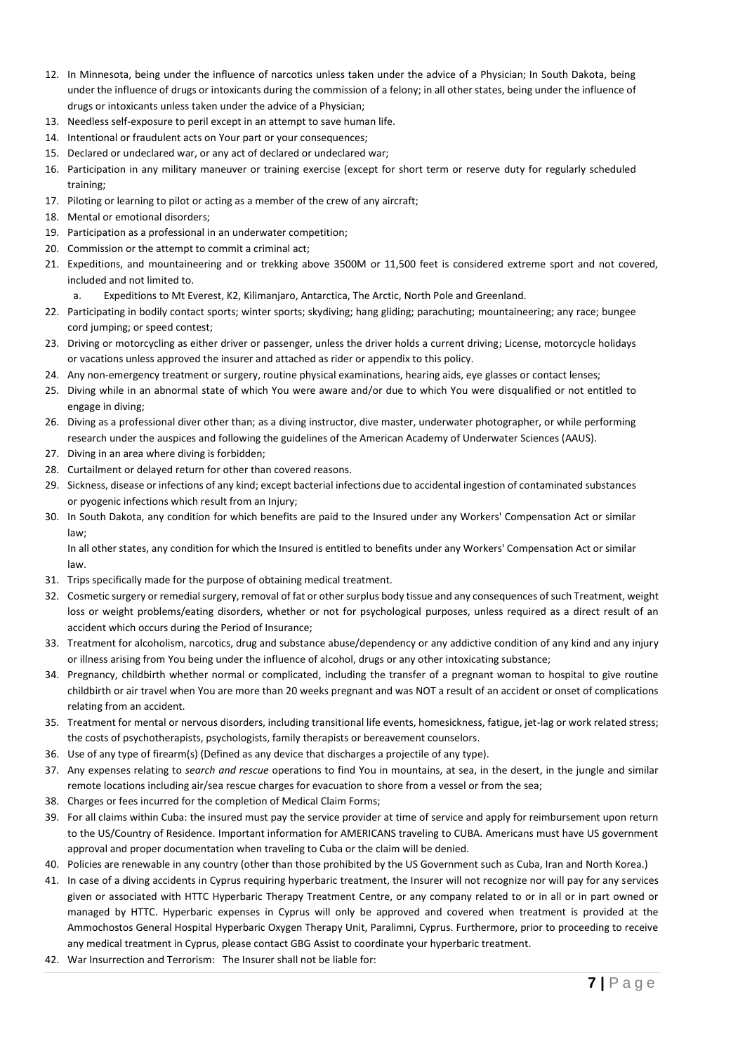- 12. In Minnesota, being under the influence of narcotics unless taken under the advice of a Physician; In South Dakota, being under the influence of drugs or intoxicants during the commission of a felony; in all other states, being under the influence of drugs or intoxicants unless taken under the advice of a Physician;
- 13. Needless self-exposure to peril except in an attempt to save human life.
- 14. Intentional or fraudulent acts on Your part or your consequences;
- 15. Declared or undeclared war, or any act of declared or undeclared war;
- 16. Participation in any military maneuver or training exercise (except for short term or reserve duty for regularly scheduled training;
- 17. Piloting or learning to pilot or acting as a member of the crew of any aircraft;
- 18. Mental or emotional disorders;
- 19. Participation as a professional in an underwater competition;
- 20. Commission or the attempt to commit a criminal act;
- 21. Expeditions, and mountaineering and or trekking above 3500M or 11,500 feet is considered extreme sport and not covered, included and not limited to.
	- a. Expeditions to Mt Everest, K2, Kilimanjaro, Antarctica, The Arctic, North Pole and Greenland.
- 22. Participating in bodily contact sports; winter sports; skydiving; hang gliding; parachuting; mountaineering; any race; bungee cord jumping; or speed contest;
- 23. Driving or motorcycling as either driver or passenger, unless the driver holds a current driving; License, motorcycle holidays or vacations unless approved the insurer and attached as rider or appendix to this policy.
- 24. Any non-emergency treatment or surgery, routine physical examinations, hearing aids, eye glasses or contact lenses;
- 25. Diving while in an abnormal state of which You were aware and/or due to which You were disqualified or not entitled to engage in diving;
- 26. Diving as a professional diver other than; as a diving instructor, dive master, underwater photographer, or while performing research under the auspices and following the guidelines of the American Academy of Underwater Sciences (AAUS).
- 27. Diving in an area where diving is forbidden;
- 28. Curtailment or delayed return for other than covered reasons.
- 29. Sickness, disease or infections of any kind; except bacterial infections due to accidental ingestion of contaminated substances or pyogenic infections which result from an Injury;
- 30. In South Dakota, any condition for which benefits are paid to the Insured under any Workers' Compensation Act or similar law;

In all other states, any condition for which the Insured is entitled to benefits under any Workers' Compensation Act or similar law.

- 31. Trips specifically made for the purpose of obtaining medical treatment.
- 32. Cosmetic surgery or remedial surgery, removal of fat or other surplus body tissue and any consequences of such Treatment, weight loss or weight problems/eating disorders, whether or not for psychological purposes, unless required as a direct result of an accident which occurs during the Period of Insurance;
- 33. Treatment for alcoholism, narcotics, drug and substance abuse/dependency or any addictive condition of any kind and any injury or illness arising from You being under the influence of alcohol, drugs or any other intoxicating substance;
- 34. Pregnancy, childbirth whether normal or complicated, including the transfer of a pregnant woman to hospital to give routine childbirth or air travel when You are more than 20 weeks pregnant and was NOT a result of an accident or onset of complications relating from an accident.
- 35. Treatment for mental or nervous disorders, including transitional life events, homesickness, fatigue, jet-lag or work related stress; the costs of psychotherapists, psychologists, family therapists or bereavement counselors.
- 36. Use of any type of firearm(s) (Defined as any device that discharges a projectile of any type).
- 37. Any expenses relating to *search and rescue* operations to find You in mountains, at sea, in the desert, in the jungle and similar remote locations including air/sea rescue charges for evacuation to shore from a vessel or from the sea;
- 38. Charges or fees incurred for the completion of Medical Claim Forms;
- 39. For all claims within Cuba: the insured must pay the service provider at time of service and apply for reimbursement upon return to the US/Country of Residence. Important information for AMERICANS traveling to CUBA. Americans must have US government approval and proper documentation when traveling to Cuba or the claim will be denied.
- 40. Policies are renewable in any country (other than those prohibited by the US Government such as Cuba, Iran and North Korea.)
- 41. In case of a diving accidents in Cyprus requiring hyperbaric treatment, the Insurer will not recognize nor will pay for any services given or associated with HTTC Hyperbaric Therapy Treatment Centre, or any company related to or in all or in part owned or managed by HTTC. Hyperbaric expenses in Cyprus will only be approved and covered when treatment is provided at the Ammochostos General Hospital Hyperbaric Oxygen Therapy Unit, Paralimni, Cyprus. Furthermore, prior to proceeding to receive any medical treatment in Cyprus, please contact GBG Assist to coordinate your hyperbaric treatment.
- 42. War Insurrection and Terrorism: The Insurer shall not be liable for: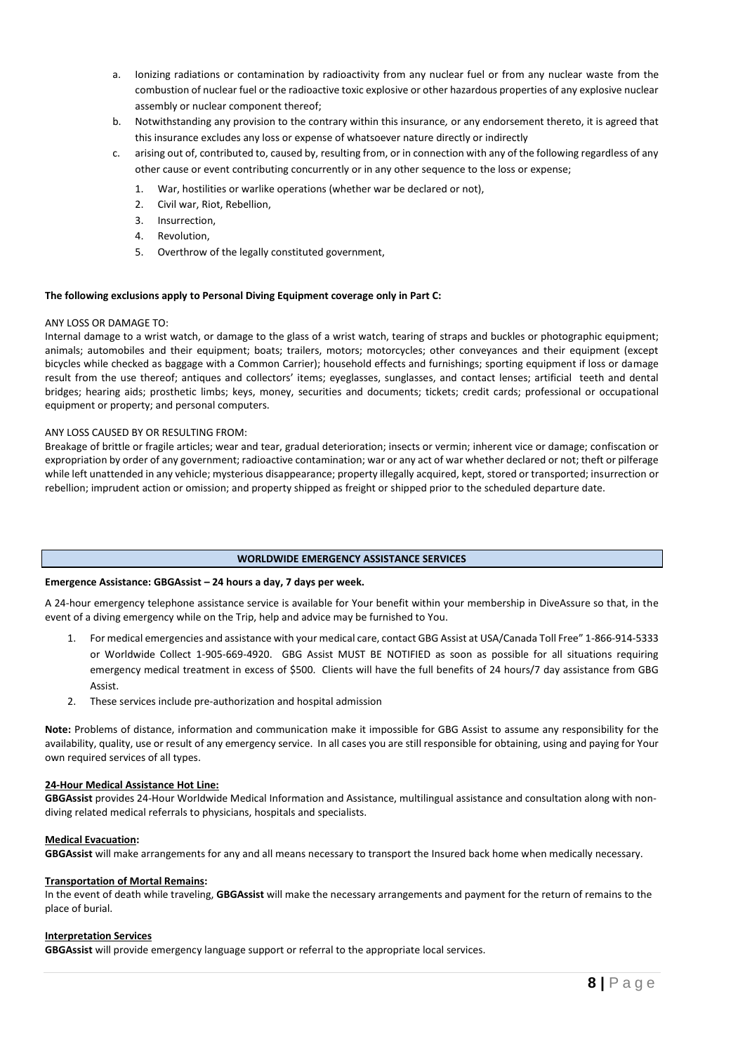- a. Ionizing radiations or contamination by radioactivity from any nuclear fuel or from any nuclear waste from the combustion of nuclear fuel or the radioactive toxic explosive or other hazardous properties of any explosive nuclear assembly or nuclear component thereof;
- b. Notwithstanding any provision to the contrary within this insurance*,* or any endorsement thereto, it is agreed that this insurance excludes any loss or expense of whatsoever nature directly or indirectly
- c. arising out of, contributed to, caused by, resulting from, or in connection with any of the following regardless of any other cause or event contributing concurrently or in any other sequence to the loss or expense;
	- 1. War, hostilities or warlike operations (whether war be declared or not),
	- 2. Civil war, Riot, Rebellion,
	- 3. Insurrection,
	- 4. Revolution,
	- 5. Overthrow of the legally constituted government,

## **The following exclusions apply to Personal Diving Equipment coverage only in Part C:**

#### ANY LOSS OR DAMAGE TO:

Internal damage to a wrist watch, or damage to the glass of a wrist watch, tearing of straps and buckles or photographic equipment; animals; automobiles and their equipment; boats; trailers, motors; motorcycles; other conveyances and their equipment (except bicycles while checked as baggage with a Common Carrier); household effects and furnishings; sporting equipment if loss or damage result from the use thereof; antiques and collectors' items; eyeglasses, sunglasses, and contact lenses; artificial teeth and dental bridges; hearing aids; prosthetic limbs; keys, money, securities and documents; tickets; credit cards; professional or occupational equipment or property; and personal computers.

## ANY LOSS CAUSED BY OR RESULTING FROM:

Breakage of brittle or fragile articles; wear and tear, gradual deterioration; insects or vermin; inherent vice or damage; confiscation or expropriation by order of any government; radioactive contamination; war or any act of war whether declared or not; theft or pilferage while left unattended in any vehicle; mysterious disappearance; property illegally acquired, kept, stored or transported; insurrection or rebellion; imprudent action or omission; and property shipped as freight or shipped prior to the scheduled departure date.

## **WORLDWIDE EMERGENCY ASSISTANCE SERVICES**

## **Emergence Assistance: GBGAssist – 24 hours a day, 7 days per week.**

A 24-hour emergency telephone assistance service is available for Your benefit within your membership in DiveAssure so that, in the event of a diving emergency while on the Trip, help and advice may be furnished to You.

- 1. For medical emergencies and assistance with your medical care, contact GBG Assist at USA/Canada Toll Free" 1-866-914-5333 or Worldwide Collect 1-905-669-4920. GBG Assist MUST BE NOTIFIED as soon as possible for all situations requiring emergency medical treatment in excess of \$500. Clients will have the full benefits of 24 hours/7 day assistance from GBG Assist.
- 2. These services include pre-authorization and hospital admission

**Note:** Problems of distance, information and communication make it impossible for GBG Assist to assume any responsibility for the availability, quality, use or result of any emergency service. In all cases you are still responsible for obtaining, using and paying for Your own required services of all types.

## **24-Hour Medical Assistance Hot Line:**

**GBGAssist** provides 24-Hour Worldwide Medical Information and Assistance, multilingual assistance and consultation along with nondiving related medical referrals to physicians, hospitals and specialists.

#### **Medical Evacuation:**

**GBGAssist** will make arrangements for any and all means necessary to transport the Insured back home when medically necessary.

#### **Transportation of Mortal Remains:**

In the event of death while traveling, **GBGAssist** will make the necessary arrangements and payment for the return of remains to the place of burial.

#### **Interpretation Services**

**GBGAssist** will provide emergency language support or referral to the appropriate local services.